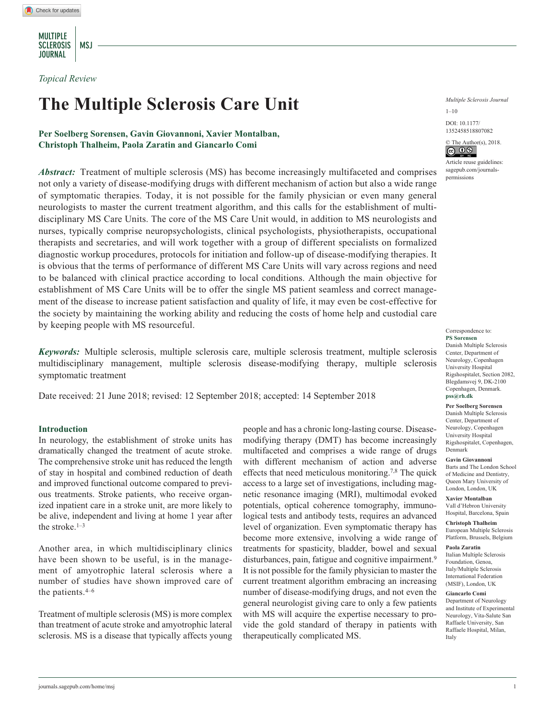MULTIPLE SCLEROSIS | MSJ **JOURNAL** 

*Topical Review*

# **The Multiple Sclerosis Care Unit**

# **Per Soelberg Sorensen, Gavin Giovannoni, Xavier Montalban, Christoph Thalheim, Paola Zaratin and Giancarlo Comi**

*Abstract:* Treatment of multiple sclerosis (MS) has become increasingly multifaceted and comprises not only a variety of disease-modifying drugs with different mechanism of action but also a wide range of symptomatic therapies. Today, it is not possible for the family physician or even many general neurologists to master the current treatment algorithm, and this calls for the establishment of multidisciplinary MS Care Units. The core of the MS Care Unit would, in addition to MS neurologists and nurses, typically comprise neuropsychologists, clinical psychologists, physiotherapists, occupational therapists and secretaries, and will work together with a group of different specialists on formalized diagnostic workup procedures, protocols for initiation and follow-up of disease-modifying therapies. It is obvious that the terms of performance of different MS Care Units will vary across regions and need to be balanced with clinical practice according to local conditions. Although the main objective for establishment of MS Care Units will be to offer the single MS patient seamless and correct management of the disease to increase patient satisfaction and quality of life, it may even be cost-effective for the society by maintaining the working ability and reducing the costs of home help and custodial care by keeping people with MS resourceful.

*Keywords:* Multiple sclerosis, multiple sclerosis care, multiple sclerosis treatment, multiple sclerosis multidisciplinary management, multiple sclerosis disease-modifying therapy, multiple sclerosis symptomatic treatment

Date received: 21 June 2018; revised: 12 September 2018; accepted: 14 September 2018

### **Introduction**

In neurology, the establishment of stroke units has dramatically changed the treatment of acute stroke. The comprehensive stroke unit has reduced the length of stay in hospital and combined reduction of death and improved functional outcome compared to previous treatments. Stroke patients, who receive organized inpatient care in a stroke unit, are more likely to be alive, independent and living at home 1 year after the stroke.1–3

Another area, in which multidisciplinary clinics have been shown to be useful, is in the management of amyotrophic lateral sclerosis where a number of studies have shown improved care of the patients.4–6

Treatment of multiple sclerosis (MS) is more complex than treatment of acute stroke and amyotrophic lateral sclerosis. MS is a disease that typically affects young people and has a chronic long-lasting course. Diseasemodifying therapy (DMT) has become increasingly multifaceted and comprises a wide range of drugs with different mechanism of action and adverse effects that need meticulous monitoring.7,8 The quick access to a large set of investigations, including magnetic resonance imaging (MRI), multimodal evoked potentials, optical coherence tomography, immunological tests and antibody tests, requires an advanced level of organization. Even symptomatic therapy has become more extensive, involving a wide range of treatments for spasticity, bladder, bowel and sexual disturbances, pain, fatigue and cognitive impairment.<sup>9</sup> It is not possible for the family physician to master the current treatment algorithm embracing an increasing number of disease-modifying drugs, and not even the general neurologist giving care to only a few patients with MS will acquire the expertise necessary to provide the gold standard of therapy in patients with therapeutically complicated MS.

*Multiple Sclerosis Journal*

DOI: 10.1177/ https://doi.org/10.1177/1352458518807082 1352458518807082  $1-10$ 



Article reuse guidelines: [sagepub.com/journals](https://uk.sagepub.com/en-gb/journals-permissions)[permissions](https://uk.sagepub.com/en-gb/journals-permissions)

#### Correspondence to: **PS Sorensen**

Danish Multiple Sclerosis Center, Department of Neurology, Copenhagen University Hospital Rigshospitalet, Section 2082, Blegdamsvej 9, DK-2100 Copenhagen, Denmark. **[pss@rh.dk](mailto:pss@rh.dk)**

**Per Soelberg Sorensen** Danish Multiple Sclerosis Center, Department of Neurology, Copenhagen

University Hospital Rigshospitalet, Copenhagen, Denmark **Gavin Giovannoni**

Barts and The London School of Medicine and Dentistry, Queen Mary University of London, London, UK

**Xavier Montalban** Vall d'Hebron University Hospital, Barcelona, Spain

**Christoph Thalheim** European Multiple Sclerosis Platform, Brussels, Belgium

#### **Paola Zaratin**

Italian Multiple Sclerosis Foundation, Genoa, Italy/Multiple Sclerosis International Federation (MSIF), London, UK

#### **Giancarlo Comi**

Department of Neurology and Institute of Experimental Neurology, Vita-Salute San Raffaele University, San Raffaele Hospital, Milan, Italy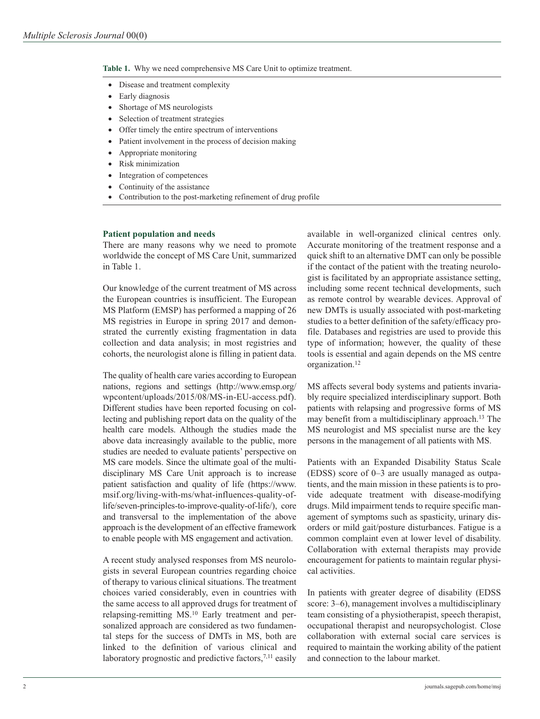**Table 1.** Why we need comprehensive MS Care Unit to optimize treatment.

- Disease and treatment complexity
- Early diagnosis
- Shortage of MS neurologists
- Selection of treatment strategies
- Offer timely the entire spectrum of interventions
- Patient involvement in the process of decision making
- Appropriate monitoring
- Risk minimization
- Integration of competences
- Continuity of the assistance
- Contribution to the post-marketing refinement of drug profile

## **Patient population and needs**

There are many reasons why we need to promote worldwide the concept of MS Care Unit, summarized in Table 1.

Our knowledge of the current treatment of MS across the European countries is insufficient. The European MS Platform (EMSP) has performed a mapping of 26 MS registries in Europe in spring 2017 and demonstrated the currently existing fragmentation in data collection and data analysis; in most registries and cohorts, the neurologist alone is filling in patient data.

The quality of health care varies according to European nations, regions and settings [\(http://www.emsp.org/](http://www.emsp.org/wpcontent/uploads/2015/08/MS-in-EU-access.pdf) [wpcontent/uploads/2015/08/MS-in-EU-access.pdf\)](http://www.emsp.org/wpcontent/uploads/2015/08/MS-in-EU-access.pdf). Different studies have been reported focusing on collecting and publishing report data on the quality of the health care models. Although the studies made the above data increasingly available to the public, more studies are needed to evaluate patients' perspective on MS care models. Since the ultimate goal of the multidisciplinary MS Care Unit approach is to increase patient satisfaction and quality of life ([https://www.](https://www.msif.org/living-with-ms/what-influences-quality-of-life/seven-principles-to-improve-quality-of-life/), core and transversal to the implementation of the above approach is the development of an effective framework to enable people with MS engagement and activation) [msif.org/living-with-ms/what-influences-quality-of](https://www.msif.org/living-with-ms/what-influences-quality-of-life/seven-principles-to-improve-quality-of-life/), core and transversal to the implementation of the above approach is the development of an effective framework to enable people with MS engagement and activation)[life/seven-principles-to-improve-quality-of-life/\), core](https://www.msif.org/living-with-ms/what-influences-quality-of-life/seven-principles-to-improve-quality-of-life/), core and transversal to the implementation of the above approach is the development of an effective framework to enable people with MS engagement and activation) [and transversal to the implementation of the above](https://www.msif.org/living-with-ms/what-influences-quality-of-life/seven-principles-to-improve-quality-of-life/), core and transversal to the implementation of the above approach is the development of an effective framework to enable people with MS engagement and activation) [approach is the development of an effective framework](https://www.msif.org/living-with-ms/what-influences-quality-of-life/seven-principles-to-improve-quality-of-life/), core and transversal to the implementation of the above approach is the development of an effective framework to enable people with MS engagement and activation) [to enable people with MS engagement and activation.](https://www.msif.org/living-with-ms/what-influences-quality-of-life/seven-principles-to-improve-quality-of-life/), core and transversal to the implementation of the above approach is the development of an effective framework to enable people with MS engagement and activation)

A recent study analysed responses from MS neurologists in several European countries regarding choice of therapy to various clinical situations. The treatment choices varied considerably, even in countries with the same access to all approved drugs for treatment of relapsing-remitting MS.10 Early treatment and personalized approach are considered as two fundamental steps for the success of DMTs in MS, both are linked to the definition of various clinical and laboratory prognostic and predictive factors,<sup>7,11</sup> easily

available in well-organized clinical centres only. Accurate monitoring of the treatment response and a quick shift to an alternative DMT can only be possible if the contact of the patient with the treating neurologist is facilitated by an appropriate assistance setting, including some recent technical developments, such as remote control by wearable devices. Approval of new DMTs is usually associated with post-marketing studies to a better definition of the safety/efficacy profile. Databases and registries are used to provide this type of information; however, the quality of these tools is essential and again depends on the MS centre organization.12

MS affects several body systems and patients invariably require specialized interdisciplinary support. Both patients with relapsing and progressive forms of MS may benefit from a multidisciplinary approach.13 The MS neurologist and MS specialist nurse are the key persons in the management of all patients with MS.

Patients with an Expanded Disability Status Scale (EDSS) score of 0–3 are usually managed as outpatients, and the main mission in these patients is to provide adequate treatment with disease-modifying drugs. Mild impairment tends to require specific management of symptoms such as spasticity, urinary disorders or mild gait/posture disturbances. Fatigue is a common complaint even at lower level of disability. Collaboration with external therapists may provide encouragement for patients to maintain regular physical activities.

In patients with greater degree of disability (EDSS score: 3–6), management involves a multidisciplinary team consisting of a physiotherapist, speech therapist, occupational therapist and neuropsychologist. Close collaboration with external social care services is required to maintain the working ability of the patient and connection to the labour market.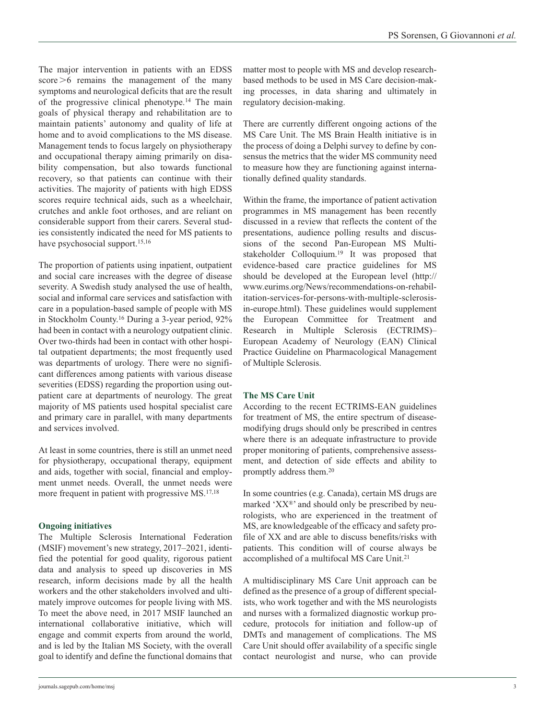The major intervention in patients with an EDSS score >6 remains the management of the many symptoms and neurological deficits that are the result of the progressive clinical phenotype.14 The main goals of physical therapy and rehabilitation are to maintain patients' autonomy and quality of life at home and to avoid complications to the MS disease. Management tends to focus largely on physiotherapy and occupational therapy aiming primarily on disability compensation, but also towards functional recovery, so that patients can continue with their activities. The majority of patients with high EDSS scores require technical aids, such as a wheelchair, crutches and ankle foot orthoses, and are reliant on considerable support from their carers. Several studies consistently indicated the need for MS patients to have psychosocial support.<sup>15,16</sup>

The proportion of patients using inpatient, outpatient and social care increases with the degree of disease severity. A Swedish study analysed the use of health, social and informal care services and satisfaction with care in a population-based sample of people with MS in Stockholm County.16 During a 3-year period, 92% had been in contact with a neurology outpatient clinic. Over two-thirds had been in contact with other hospital outpatient departments; the most frequently used was departments of urology. There were no significant differences among patients with various disease severities (EDSS) regarding the proportion using outpatient care at departments of neurology. The great majority of MS patients used hospital specialist care and primary care in parallel, with many departments and services involved.

At least in some countries, there is still an unmet need for physiotherapy, occupational therapy, equipment and aids, together with social, financial and employment unmet needs. Overall, the unmet needs were more frequent in patient with progressive MS.<sup>17,18</sup>

# **Ongoing initiatives**

The Multiple Sclerosis International Federation (MSIF) movement's new strategy, 2017–2021, identified the potential for good quality, rigorous patient data and analysis to speed up discoveries in MS research, inform decisions made by all the health workers and the other stakeholders involved and ultimately improve outcomes for people living with MS. To meet the above need, in 2017 MSIF launched an international collaborative initiative, which will engage and commit experts from around the world, and is led by the Italian MS Society, with the overall goal to identify and define the functional domains that matter most to people with MS and develop researchbased methods to be used in MS Care decision-making processes, in data sharing and ultimately in regulatory decision-making.

There are currently different ongoing actions of the MS Care Unit. The MS Brain Health initiative is in the process of doing a Delphi survey to define by consensus the metrics that the wider MS community need to measure how they are functioning against internationally defined quality standards.

Within the frame, the importance of patient activation programmes in MS management has been recently discussed in a review that reflects the content of the presentations, audience polling results and discussions of the second Pan-European MS Multistakeholder Colloquium.19 It was proposed that evidence-based care practice guidelines for MS should be developed at the European level [\(http://](http://www.eurims.org/News/recommendations-on-rehabilitation-services-for-persons-with-multiple-sclerosis-in-europe.html) [www.eurims.org/News/recommendations-on-rehabil](http://www.eurims.org/News/recommendations-on-rehabilitation-services-for-persons-with-multiple-sclerosis-in-europe.html)[itation-services-for-persons-with-multiple-sclerosis](http://www.eurims.org/News/recommendations-on-rehabilitation-services-for-persons-with-multiple-sclerosis-in-europe.html)[in-europe.html](http://www.eurims.org/News/recommendations-on-rehabilitation-services-for-persons-with-multiple-sclerosis-in-europe.html)). These guidelines would supplement the European Committee for Treatment and Research in Multiple Sclerosis (ECTRIMS)– European Academy of Neurology (EAN) Clinical Practice Guideline on Pharmacological Management of Multiple Sclerosis.

# **The MS Care Unit**

According to the recent ECTRIMS-EAN guidelines for treatment of MS, the entire spectrum of diseasemodifying drugs should only be prescribed in centres where there is an adequate infrastructure to provide proper monitoring of patients, comprehensive assessment, and detection of side effects and ability to promptly address them.20

In some countries (e.g. Canada), certain MS drugs are marked ' $XX^{\circ}$ ' and should only be prescribed by neurologists, who are experienced in the treatment of MS, are knowledgeable of the efficacy and safety profile of XX and are able to discuss benefits/risks with patients. This condition will of course always be accomplished of a multifocal MS Care Unit.21

A multidisciplinary MS Care Unit approach can be defined as the presence of a group of different specialists, who work together and with the MS neurologists and nurses with a formalized diagnostic workup procedure, protocols for initiation and follow-up of DMTs and management of complications. The MS Care Unit should offer availability of a specific single contact neurologist and nurse, who can provide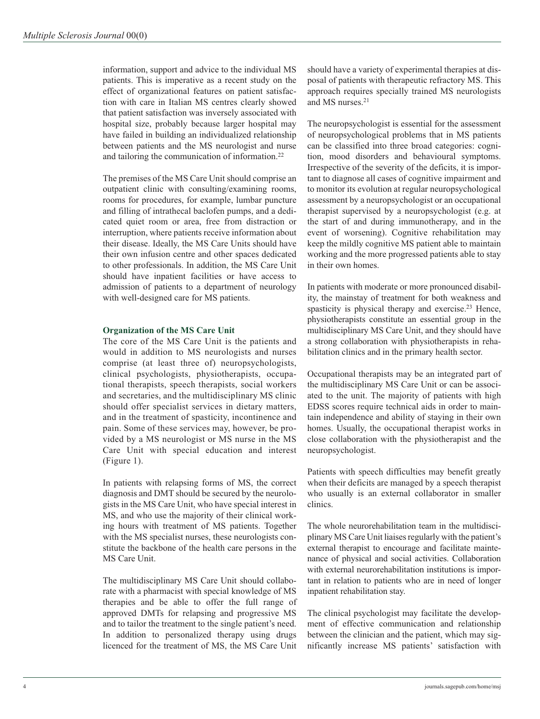information, support and advice to the individual MS patients. This is imperative as a recent study on the effect of organizational features on patient satisfaction with care in Italian MS centres clearly showed that patient satisfaction was inversely associated with hospital size, probably because larger hospital may have failed in building an individualized relationship between patients and the MS neurologist and nurse and tailoring the communication of information.22

The premises of the MS Care Unit should comprise an outpatient clinic with consulting/examining rooms, rooms for procedures, for example, lumbar puncture and filling of intrathecal baclofen pumps, and a dedicated quiet room or area, free from distraction or interruption, where patients receive information about their disease. Ideally, the MS Care Units should have their own infusion centre and other spaces dedicated to other professionals. In addition, the MS Care Unit should have inpatient facilities or have access to admission of patients to a department of neurology with well-designed care for MS patients.

## **Organization of the MS Care Unit**

The core of the MS Care Unit is the patients and would in addition to MS neurologists and nurses comprise (at least three of) neuropsychologists, clinical psychologists, physiotherapists, occupational therapists, speech therapists, social workers and secretaries, and the multidisciplinary MS clinic should offer specialist services in dietary matters, and in the treatment of spasticity, incontinence and pain. Some of these services may, however, be provided by a MS neurologist or MS nurse in the MS Care Unit with special education and interest (Figure 1).

In patients with relapsing forms of MS, the correct diagnosis and DMT should be secured by the neurologists in the MS Care Unit, who have special interest in MS, and who use the majority of their clinical working hours with treatment of MS patients. Together with the MS specialist nurses, these neurologists constitute the backbone of the health care persons in the MS Care Unit.

The multidisciplinary MS Care Unit should collaborate with a pharmacist with special knowledge of MS therapies and be able to offer the full range of approved DMTs for relapsing and progressive MS and to tailor the treatment to the single patient's need. In addition to personalized therapy using drugs licenced for the treatment of MS, the MS Care Unit

should have a variety of experimental therapies at disposal of patients with therapeutic refractory MS. This approach requires specially trained MS neurologists and MS nurses.21

The neuropsychologist is essential for the assessment of neuropsychological problems that in MS patients can be classified into three broad categories: cognition, mood disorders and behavioural symptoms. Irrespective of the severity of the deficits, it is important to diagnose all cases of cognitive impairment and to monitor its evolution at regular neuropsychological assessment by a neuropsychologist or an occupational therapist supervised by a neuropsychologist (e.g. at the start of and during immunotherapy, and in the event of worsening). Cognitive rehabilitation may keep the mildly cognitive MS patient able to maintain working and the more progressed patients able to stay in their own homes.

In patients with moderate or more pronounced disability, the mainstay of treatment for both weakness and spasticity is physical therapy and exercise.<sup>23</sup> Hence, physiotherapists constitute an essential group in the multidisciplinary MS Care Unit, and they should have a strong collaboration with physiotherapists in rehabilitation clinics and in the primary health sector.

Occupational therapists may be an integrated part of the multidisciplinary MS Care Unit or can be associated to the unit. The majority of patients with high EDSS scores require technical aids in order to maintain independence and ability of staying in their own homes. Usually, the occupational therapist works in close collaboration with the physiotherapist and the neuropsychologist.

Patients with speech difficulties may benefit greatly when their deficits are managed by a speech therapist who usually is an external collaborator in smaller clinics.

The whole neurorehabilitation team in the multidisciplinary MS Care Unit liaises regularly with the patient's external therapist to encourage and facilitate maintenance of physical and social activities. Collaboration with external neurorehabilitation institutions is important in relation to patients who are in need of longer inpatient rehabilitation stay.

The clinical psychologist may facilitate the development of effective communication and relationship between the clinician and the patient, which may significantly increase MS patients' satisfaction with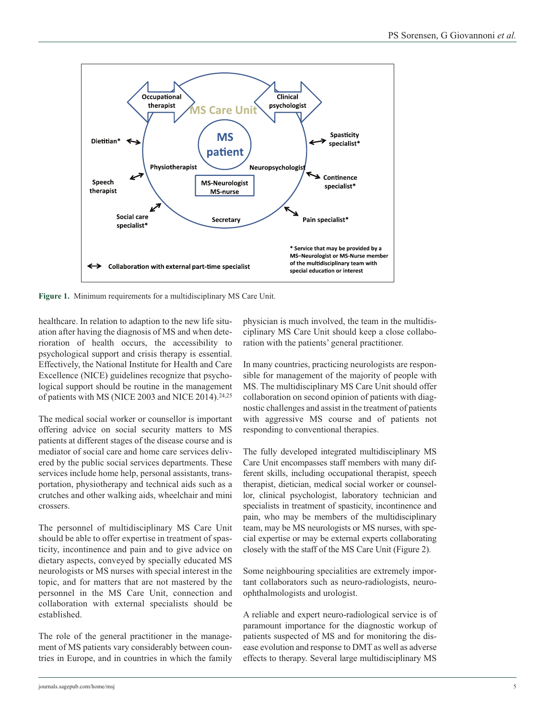

**Figure 1.** Minimum requirements for a multidisciplinary MS Care Unit.

healthcare. In relation to adaption to the new life situation after having the diagnosis of MS and when deterioration of health occurs, the accessibility to psychological support and crisis therapy is essential. Effectively, the National Institute for Health and Care Excellence (NICE) guidelines recognize that psychological support should be routine in the management of patients with MS (NICE 2003 and NICE 2014).<sup>24,25</sup>

The medical social worker or counsellor is important offering advice on social security matters to MS patients at different stages of the disease course and is mediator of social care and home care services delivered by the public social services departments. These services include home help, personal assistants, transportation, physiotherapy and technical aids such as a crutches and other walking aids, wheelchair and mini crossers.

The personnel of multidisciplinary MS Care Unit should be able to offer expertise in treatment of spasticity, incontinence and pain and to give advice on dietary aspects, conveyed by specially educated MS neurologists or MS nurses with special interest in the topic, and for matters that are not mastered by the personnel in the MS Care Unit, connection and collaboration with external specialists should be established.

The role of the general practitioner in the management of MS patients vary considerably between countries in Europe, and in countries in which the family physician is much involved, the team in the multidisciplinary MS Care Unit should keep a close collaboration with the patients' general practitioner.

In many countries, practicing neurologists are responsible for management of the majority of people with MS. The multidisciplinary MS Care Unit should offer collaboration on second opinion of patients with diagnostic challenges and assist in the treatment of patients with aggressive MS course and of patients not responding to conventional therapies.

The fully developed integrated multidisciplinary MS Care Unit encompasses staff members with many different skills, including occupational therapist, speech therapist, dietician, medical social worker or counsellor, clinical psychologist, laboratory technician and specialists in treatment of spasticity, incontinence and pain, who may be members of the multidisciplinary team, may be MS neurologists or MS nurses, with special expertise or may be external experts collaborating closely with the staff of the MS Care Unit (Figure 2).

Some neighbouring specialities are extremely important collaborators such as neuro-radiologists, neuroophthalmologists and urologist.

A reliable and expert neuro-radiological service is of paramount importance for the diagnostic workup of patients suspected of MS and for monitoring the disease evolution and response to DMT as well as adverse effects to therapy. Several large multidisciplinary MS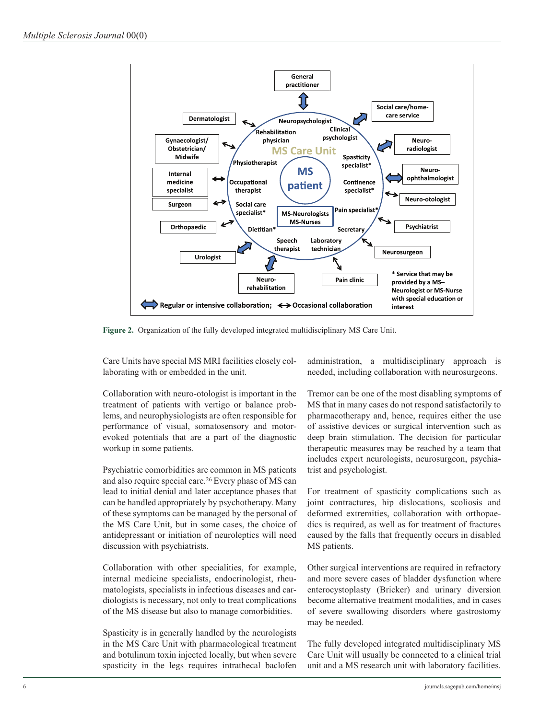

**Figure 2.** Organization of the fully developed integrated multidisciplinary MS Care Unit.

Care Units have special MS MRI facilities closely collaborating with or embedded in the unit.

Collaboration with neuro-otologist is important in the treatment of patients with vertigo or balance problems, and neurophysiologists are often responsible for performance of visual, somatosensory and motorevoked potentials that are a part of the diagnostic workup in some patients.

Psychiatric comorbidities are common in MS patients and also require special care.26 Every phase of MS can lead to initial denial and later acceptance phases that can be handled appropriately by psychotherapy. Many of these symptoms can be managed by the personal of the MS Care Unit, but in some cases, the choice of antidepressant or initiation of neuroleptics will need discussion with psychiatrists.

Collaboration with other specialities, for example, internal medicine specialists, endocrinologist, rheumatologists, specialists in infectious diseases and cardiologists is necessary, not only to treat complications of the MS disease but also to manage comorbidities.

Spasticity is in generally handled by the neurologists in the MS Care Unit with pharmacological treatment and botulinum toxin injected locally, but when severe spasticity in the legs requires intrathecal baclofen administration, a multidisciplinary approach is needed, including collaboration with neurosurgeons.

Tremor can be one of the most disabling symptoms of MS that in many cases do not respond satisfactorily to pharmacotherapy and, hence, requires either the use of assistive devices or surgical intervention such as deep brain stimulation. The decision for particular therapeutic measures may be reached by a team that includes expert neurologists, neurosurgeon, psychiatrist and psychologist.

For treatment of spasticity complications such as joint contractures, hip dislocations, scoliosis and deformed extremities, collaboration with orthopaedics is required, as well as for treatment of fractures caused by the falls that frequently occurs in disabled MS patients.

Other surgical interventions are required in refractory and more severe cases of bladder dysfunction where enterocystoplasty (Bricker) and urinary diversion become alternative treatment modalities, and in cases of severe swallowing disorders where gastrostomy may be needed.

The fully developed integrated multidisciplinary MS Care Unit will usually be connected to a clinical trial unit and a MS research unit with laboratory facilities.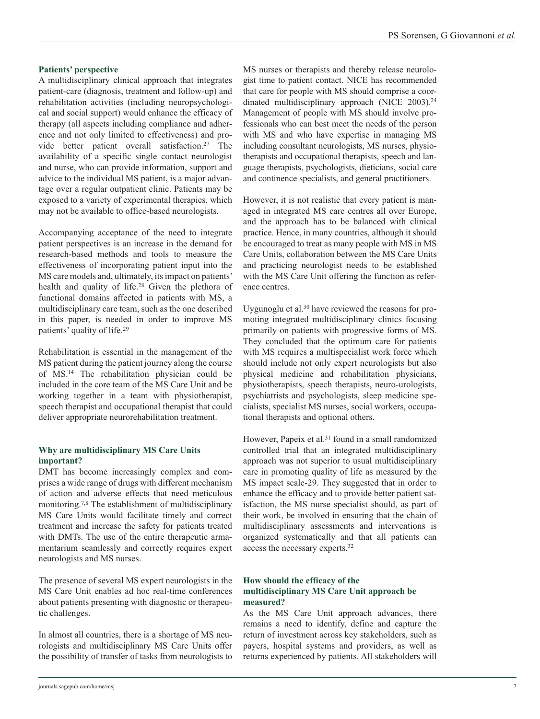## **Patients' perspective**

A multidisciplinary clinical approach that integrates patient-care (diagnosis, treatment and follow-up) and rehabilitation activities (including neuropsychological and social support) would enhance the efficacy of therapy (all aspects including compliance and adherence and not only limited to effectiveness) and provide better patient overall satisfaction.27 The availability of a specific single contact neurologist and nurse, who can provide information, support and advice to the individual MS patient, is a major advantage over a regular outpatient clinic. Patients may be exposed to a variety of experimental therapies, which may not be available to office-based neurologists.

Accompanying acceptance of the need to integrate patient perspectives is an increase in the demand for research-based methods and tools to measure the effectiveness of incorporating patient input into the MS care models and, ultimately, its impact on patients' health and quality of life.28 Given the plethora of functional domains affected in patients with MS, a multidisciplinary care team, such as the one described in this paper, is needed in order to improve MS patients' quality of life.29

Rehabilitation is essential in the management of the MS patient during the patient journey along the course of MS.14 The rehabilitation physician could be included in the core team of the MS Care Unit and be working together in a team with physiotherapist, speech therapist and occupational therapist that could deliver appropriate neurorehabilitation treatment.

# **Why are multidisciplinary MS Care Units important?**

DMT has become increasingly complex and comprises a wide range of drugs with different mechanism of action and adverse effects that need meticulous monitoring.7,8 The establishment of multidisciplinary MS Care Units would facilitate timely and correct treatment and increase the safety for patients treated with DMTs. The use of the entire therapeutic armamentarium seamlessly and correctly requires expert neurologists and MS nurses.

The presence of several MS expert neurologists in the MS Care Unit enables ad hoc real-time conferences about patients presenting with diagnostic or therapeutic challenges.

In almost all countries, there is a shortage of MS neurologists and multidisciplinary MS Care Units offer the possibility of transfer of tasks from neurologists to MS nurses or therapists and thereby release neurologist time to patient contact. NICE has recommended that care for people with MS should comprise a coordinated multidisciplinary approach (NICE 2003).<sup>24</sup> Management of people with MS should involve professionals who can best meet the needs of the person with MS and who have expertise in managing MS including consultant neurologists, MS nurses, physiotherapists and occupational therapists, speech and language therapists, psychologists, dieticians, social care and continence specialists, and general practitioners.

However, it is not realistic that every patient is managed in integrated MS care centres all over Europe, and the approach has to be balanced with clinical practice. Hence, in many countries, although it should be encouraged to treat as many people with MS in MS Care Units, collaboration between the MS Care Units and practicing neurologist needs to be established with the MS Care Unit offering the function as reference centres.

Uygunoglu et al.30 have reviewed the reasons for promoting integrated multidisciplinary clinics focusing primarily on patients with progressive forms of MS. They concluded that the optimum care for patients with MS requires a multispecialist work force which should include not only expert neurologists but also physical medicine and rehabilitation physicians, physiotherapists, speech therapists, neuro-urologists, psychiatrists and psychologists, sleep medicine specialists, specialist MS nurses, social workers, occupational therapists and optional others.

However, Papeix et al.<sup>31</sup> found in a small randomized controlled trial that an integrated multidisciplinary approach was not superior to usual multidisciplinary care in promoting quality of life as measured by the MS impact scale-29. They suggested that in order to enhance the efficacy and to provide better patient satisfaction, the MS nurse specialist should, as part of their work, be involved in ensuring that the chain of multidisciplinary assessments and interventions is organized systematically and that all patients can access the necessary experts.32

# **How should the efficacy of the multidisciplinary MS Care Unit approach be measured?**

As the MS Care Unit approach advances, there remains a need to identify, define and capture the return of investment across key stakeholders, such as payers, hospital systems and providers, as well as returns experienced by patients. All stakeholders will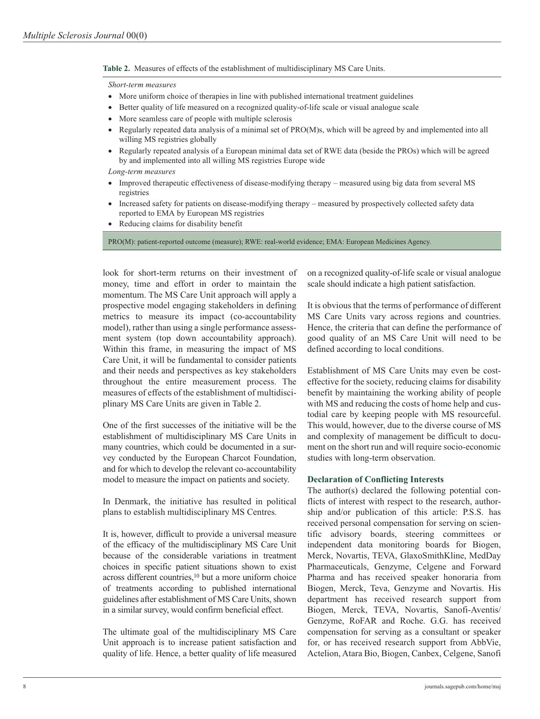**Table 2.** Measures of effects of the establishment of multidisciplinary MS Care Units.

#### *Short-term measures*

- More uniform choice of therapies in line with published international treatment guidelines
- Better quality of life measured on a recognized quality-of-life scale or visual analogue scale
- More seamless care of people with multiple sclerosis
- Regularly repeated data analysis of a minimal set of PRO(M)s, which will be agreed by and implemented into all willing MS registries globally
- Regularly repeated analysis of a European minimal data set of RWE data (beside the PROs) which will be agreed by and implemented into all willing MS registries Europe wide

*Long-term measures*

- Improved therapeutic effectiveness of disease-modifying therapy measured using big data from several MS registries
- Increased safety for patients on disease-modifying therapy measured by prospectively collected safety data reported to EMA by European MS registries
- Reducing claims for disability benefit

PRO(M): patient-reported outcome (measure); RWE: real-world evidence; EMA: European Medicines Agency.

look for short-term returns on their investment of money, time and effort in order to maintain the momentum. The MS Care Unit approach will apply a prospective model engaging stakeholders in defining metrics to measure its impact (co-accountability model), rather than using a single performance assessment system (top down accountability approach). Within this frame, in measuring the impact of MS Care Unit, it will be fundamental to consider patients and their needs and perspectives as key stakeholders throughout the entire measurement process. The measures of effects of the establishment of multidisciplinary MS Care Units are given in Table 2.

One of the first successes of the initiative will be the establishment of multidisciplinary MS Care Units in many countries, which could be documented in a survey conducted by the European Charcot Foundation, and for which to develop the relevant co-accountability model to measure the impact on patients and society.

In Denmark, the initiative has resulted in political plans to establish multidisciplinary MS Centres.

It is, however, difficult to provide a universal measure of the efficacy of the multidisciplinary MS Care Unit because of the considerable variations in treatment choices in specific patient situations shown to exist across different countries,<sup>10</sup> but a more uniform choice of treatments according to published international guidelines after establishment of MS Care Units, shown in a similar survey, would confirm beneficial effect.

The ultimate goal of the multidisciplinary MS Care Unit approach is to increase patient satisfaction and quality of life. Hence, a better quality of life measured on a recognized quality-of-life scale or visual analogue scale should indicate a high patient satisfaction.

It is obvious that the terms of performance of different MS Care Units vary across regions and countries. Hence, the criteria that can define the performance of good quality of an MS Care Unit will need to be defined according to local conditions.

Establishment of MS Care Units may even be costeffective for the society, reducing claims for disability benefit by maintaining the working ability of people with MS and reducing the costs of home help and custodial care by keeping people with MS resourceful. This would, however, due to the diverse course of MS and complexity of management be difficult to document on the short run and will require socio-economic studies with long-term observation.

### **Declaration of Conflicting Interests**

The author(s) declared the following potential conflicts of interest with respect to the research, authorship and/or publication of this article: P.S.S. has received personal compensation for serving on scientific advisory boards, steering committees or independent data monitoring boards for Biogen, Merck, Novartis, TEVA, GlaxoSmithKline, MedDay Pharmaceuticals, Genzyme, Celgene and Forward Pharma and has received speaker honoraria from Biogen, Merck, Teva, Genzyme and Novartis. His department has received research support from Biogen, Merck, TEVA, Novartis, Sanofi-Aventis/ Genzyme, RoFAR and Roche. G.G. has received compensation for serving as a consultant or speaker for, or has received research support from AbbVie, Actelion, Atara Bio, Biogen, Canbex, Celgene, Sanofi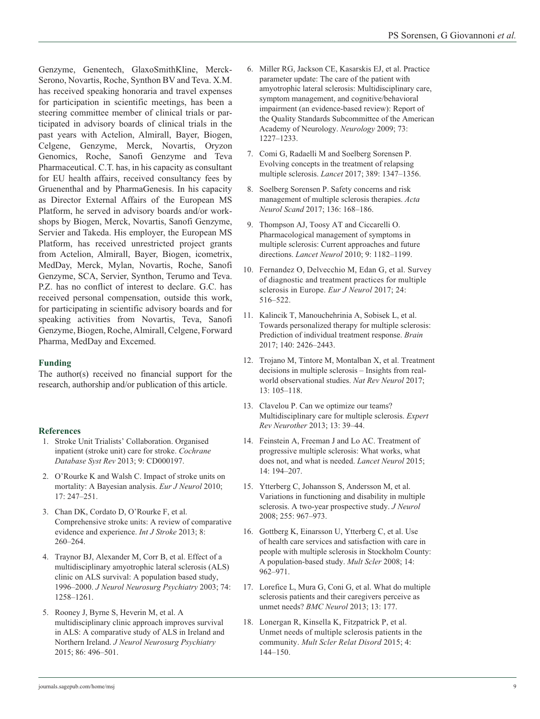Genzyme, Genentech, GlaxoSmithKline, Merck-Serono, Novartis, Roche, Synthon BV and Teva. X.M. has received speaking honoraria and travel expenses for participation in scientific meetings, has been a steering committee member of clinical trials or participated in advisory boards of clinical trials in the past years with Actelion, Almirall, Bayer, Biogen, Celgene, Genzyme, Merck, Novartis, Oryzon Genomics, Roche, Sanofi Genzyme and Teva Pharmaceutical. C.T. has, in his capacity as consultant for EU health affairs, received consultancy fees by Gruenenthal and by PharmaGenesis. In his capacity as Director External Affairs of the European MS Platform, he served in advisory boards and/or workshops by Biogen, Merck, Novartis, Sanofi Genzyme, Servier and Takeda. His employer, the European MS Platform, has received unrestricted project grants from Actelion, Almirall, Bayer, Biogen, icometrix, MedDay, Merck, Mylan, Novartis, Roche, Sanofi Genzyme, SCA, Servier, Synthon, Terumo and Teva. P.Z. has no conflict of interest to declare. G.C. has received personal compensation, outside this work, for participating in scientific advisory boards and for speaking activities from Novartis, Teva, Sanofi Genzyme, Biogen, Roche, Almirall, Celgene, Forward Pharma, MedDay and Excemed.

# **Funding**

The author(s) received no financial support for the research, authorship and/or publication of this article.

# **References**

- 1. Stroke Unit Trialists' Collaboration. Organised inpatient (stroke unit) care for stroke. *Cochrane Database Syst Rev* 2013; 9: CD000197.
- 2. O'Rourke K and Walsh C. Impact of stroke units on mortality: A Bayesian analysis. *Eur J Neurol* 2010; 17: 247–251.
- 3. Chan DK, Cordato D, O'Rourke F, et al. Comprehensive stroke units: A review of comparative evidence and experience. *Int J Stroke* 2013; 8: 260–264.
- 4. Traynor BJ, Alexander M, Corr B, et al. Effect of a multidisciplinary amyotrophic lateral sclerosis (ALS) clinic on ALS survival: A population based study, 1996–2000. *J Neurol Neurosurg Psychiatry* 2003; 74: 1258–1261.
- 5. Rooney J, Byrne S, Heverin M, et al. A multidisciplinary clinic approach improves survival in ALS: A comparative study of ALS in Ireland and Northern Ireland. *J Neurol Neurosurg Psychiatry* 2015; 86: 496–501.
- 6. Miller RG, Jackson CE, Kasarskis EJ, et al. Practice parameter update: The care of the patient with amyotrophic lateral sclerosis: Multidisciplinary care, symptom management, and cognitive/behavioral impairment (an evidence-based review): Report of the Quality Standards Subcommittee of the American Academy of Neurology. *Neurology* 2009; 73: 1227–1233.
- 7. Comi G, Radaelli M and Soelberg Sorensen P. Evolving concepts in the treatment of relapsing multiple sclerosis. *Lancet* 2017; 389: 1347–1356.
- 8. Soelberg Sorensen P. Safety concerns and risk management of multiple sclerosis therapies. *Acta Neurol Scand* 2017; 136: 168–186.
- 9. Thompson AJ, Toosy AT and Ciccarelli O. Pharmacological management of symptoms in multiple sclerosis: Current approaches and future directions. *Lancet Neurol* 2010; 9: 1182–1199.
- 10. Fernandez O, Delvecchio M, Edan G, et al. Survey of diagnostic and treatment practices for multiple sclerosis in Europe. *Eur J Neurol* 2017; 24: 516–522.
- 11. Kalincik T, Manouchehrinia A, Sobisek L, et al. Towards personalized therapy for multiple sclerosis: Prediction of individual treatment response. *Brain* 2017; 140: 2426–2443.
- 12. Trojano M, Tintore M, Montalban X, et al. Treatment decisions in multiple sclerosis – Insights from realworld observational studies. *Nat Rev Neurol* 2017; 13: 105–118.
- 13. Clavelou P. Can we optimize our teams? Multidisciplinary care for multiple sclerosis. *Expert Rev Neurother* 2013; 13: 39–44.
- 14. Feinstein A, Freeman J and Lo AC. Treatment of progressive multiple sclerosis: What works, what does not, and what is needed. *Lancet Neurol* 2015; 14: 194–207.
- 15. Ytterberg C, Johansson S, Andersson M, et al. Variations in functioning and disability in multiple sclerosis. A two-year prospective study. *J Neurol* 2008; 255: 967–973.
- 16. Gottberg K, Einarsson U, Ytterberg C, et al. Use of health care services and satisfaction with care in people with multiple sclerosis in Stockholm County: A population-based study. *Mult Scler* 2008; 14: 962–971.
- 17. Lorefice L, Mura G, Coni G, et al. What do multiple sclerosis patients and their caregivers perceive as unmet needs? *BMC Neurol* 2013; 13: 177.
- 18. Lonergan R, Kinsella K, Fitzpatrick P, et al. Unmet needs of multiple sclerosis patients in the community. *Mult Scler Relat Disord* 2015; 4: 144–150.